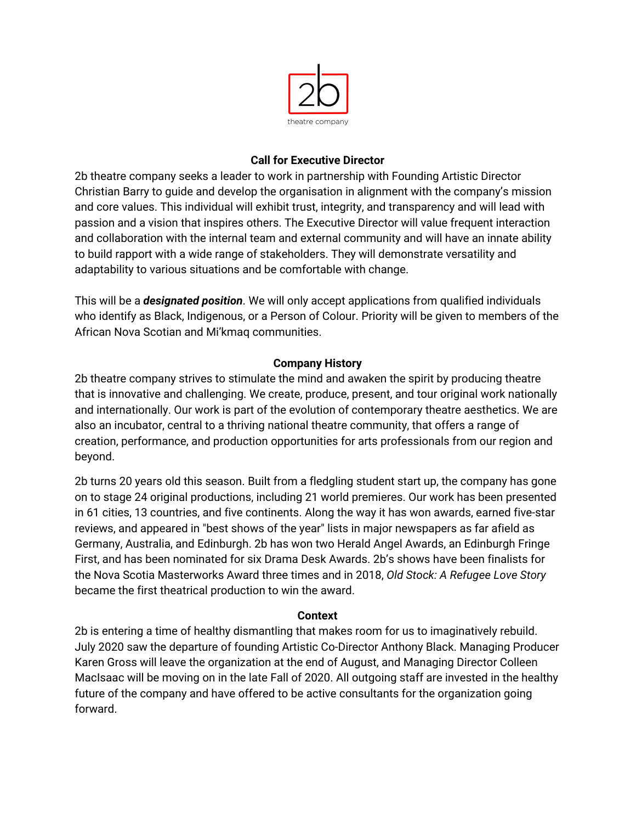

### **Call for Executive Director**

2b theatre company seeks a leader to work in partnership with Founding Artistic Director Christian Barry to guide and develop the organisation in alignment with the company's mission and core values. This individual will exhibit trust, integrity, and transparency and will lead with passion and a vision that inspires others. The Executive Director will value frequent interaction and collaboration with the internal team and external community and will have an innate ability to build rapport with a wide range of stakeholders. They will demonstrate versatility and adaptability to various situations and be comfortable with change.

This will be a *designated position*. We will only accept applications from qualified individuals who identify as Black, Indigenous, or a Person of Colour. Priority will be given to members of the African Nova Scotian and Mi'kmaq communities.

# **Company History**

2b theatre company strives to stimulate the mind and awaken the spirit by producing theatre that is innovative and challenging. We create, produce, present, and tour original work nationally and internationally. Our work is part of the evolution of contemporary theatre aesthetics. We are also an incubator, central to a thriving national theatre community, that offers a range of creation, performance, and production opportunities for arts professionals from our region and beyond.

2b turns 20 years old this season. Built from a fledgling student start up, the company has gone on to stage 24 original productions, including 21 world premieres. Our work has been presented in 61 cities, 13 countries, and five continents. Along the way it has won awards, earned five-star reviews, and appeared in "best shows of the year" lists in major newspapers as far afield as Germany, Australia, and Edinburgh. 2b has won two Herald Angel Awards, an Edinburgh Fringe First, and has been nominated for six Drama Desk Awards. 2b's shows have been finalists for the Nova Scotia Masterworks Award three times and in 2018, *Old Stock: A Refugee Love Story* became the first theatrical production to win the award.

## **Context**

2b is entering a time of healthy dismantling that makes room for us to imaginatively rebuild. July 2020 saw the departure of founding Artistic Co-Director Anthony Black. Managing Producer Karen Gross will leave the organization at the end of August, and Managing Director Colleen MacIsaac will be moving on in the late Fall of 2020. All outgoing staff are invested in the healthy future of the company and have offered to be active consultants for the organization going forward.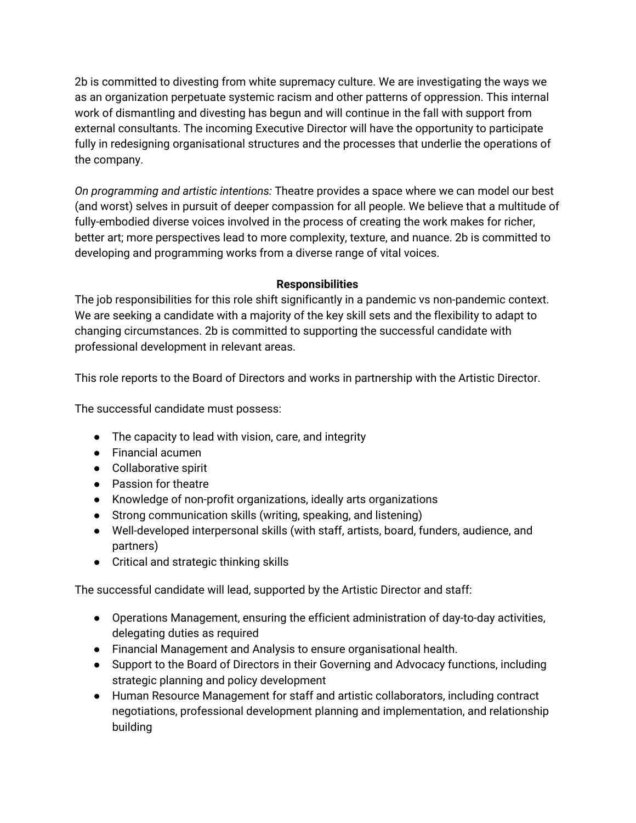2b is committed to divesting from white supremacy culture. We are investigating the ways we as an organization perpetuate systemic racism and other patterns of oppression. This internal work of dismantling and divesting has begun and will continue in the fall with support from external consultants. The incoming Executive Director will have the opportunity to participate fully in redesigning organisational structures and the processes that underlie the operations of the company.

*On programming and artistic intentions:* Theatre provides a space where we can model our best (and worst) selves in pursuit of deeper compassion for all people. We believe that a multitude of fully-embodied diverse voices involved in the process of creating the work makes for richer, better art; more perspectives lead to more complexity, texture, and nuance. 2b is committed to developing and programming works from a diverse range of vital voices.

## **Responsibilities**

The job responsibilities for this role shift significantly in a pandemic vs non-pandemic context. We are seeking a candidate with a majority of the key skill sets and the flexibility to adapt to changing circumstances. 2b is committed to supporting the successful candidate with professional development in relevant areas.

This role reports to the Board of Directors and works in partnership with the Artistic Director.

The successful candidate must possess:

- The capacity to lead with vision, care, and integrity
- Financial acumen
- Collaborative spirit
- Passion for theatre
- Knowledge of non-profit organizations, ideally arts organizations
- Strong communication skills (writing, speaking, and listening)
- Well-developed interpersonal skills (with staff, artists, board, funders, audience, and partners)
- Critical and strategic thinking skills

The successful candidate will lead, supported by the Artistic Director and staff:

- Operations Management, ensuring the efficient administration of day-to-day activities, delegating duties as required
- Financial Management and Analysis to ensure organisational health.
- Support to the Board of Directors in their Governing and Advocacy functions, including strategic planning and policy development
- Human Resource Management for staff and artistic collaborators, including contract negotiations, professional development planning and implementation, and relationship building